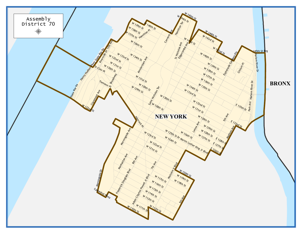